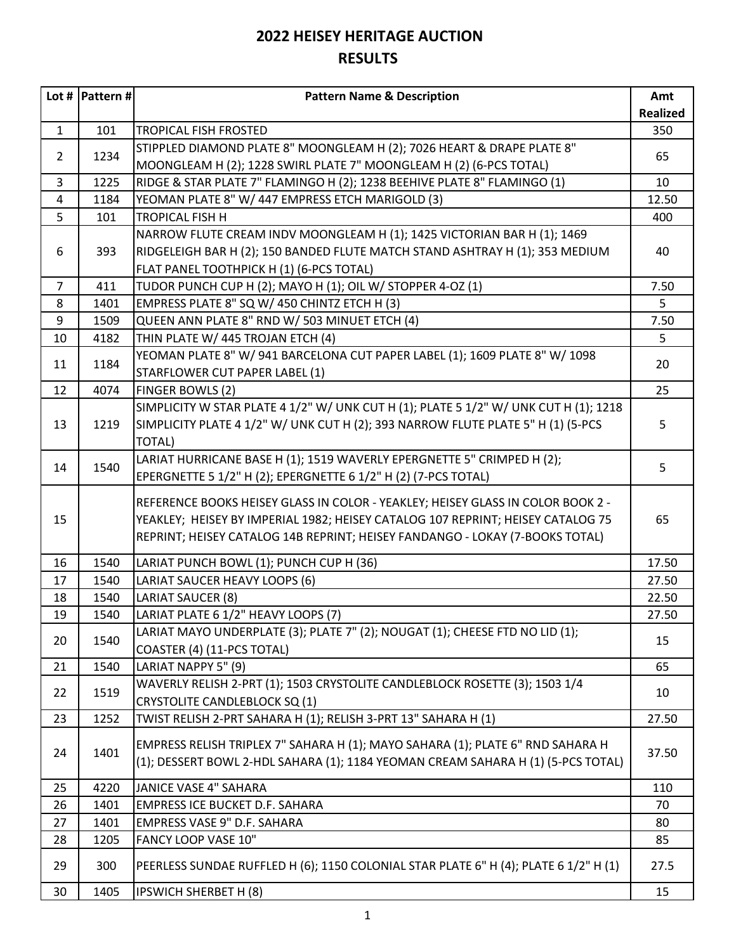|                | Lot #  Pattern # | <b>Pattern Name &amp; Description</b>                                                | Amt             |
|----------------|------------------|--------------------------------------------------------------------------------------|-----------------|
|                |                  |                                                                                      | <b>Realized</b> |
| $\mathbf{1}$   | 101              | <b>TROPICAL FISH FROSTED</b>                                                         | 350             |
|                |                  | STIPPLED DIAMOND PLATE 8" MOONGLEAM H (2); 7026 HEART & DRAPE PLATE 8"               |                 |
| $\overline{2}$ | 1234             | MOONGLEAM H (2); 1228 SWIRL PLATE 7" MOONGLEAM H (2) (6-PCS TOTAL)                   | 65              |
| 3              | 1225             | RIDGE & STAR PLATE 7" FLAMINGO H (2); 1238 BEEHIVE PLATE 8" FLAMINGO (1)             | 10              |
| 4              | 1184             | YEOMAN PLATE 8" W/ 447 EMPRESS ETCH MARIGOLD (3)                                     | 12.50           |
| 5              | 101              | <b>TROPICAL FISH H</b>                                                               | 400             |
|                |                  | NARROW FLUTE CREAM INDV MOONGLEAM H (1); 1425 VICTORIAN BAR H (1); 1469              |                 |
| 6              | 393              | RIDGELEIGH BAR H (2); 150 BANDED FLUTE MATCH STAND ASHTRAY H (1); 353 MEDIUM         | 40              |
|                |                  | FLAT PANEL TOOTHPICK H (1) (6-PCS TOTAL)                                             |                 |
| $\overline{7}$ | 411              | TUDOR PUNCH CUP H (2); MAYO H (1); OIL W/ STOPPER 4-OZ (1)                           | 7.50            |
| 8              | 1401             | EMPRESS PLATE 8" SQ W/ 450 CHINTZ ETCH H (3)                                         | 5               |
| 9              | 1509             | QUEEN ANN PLATE 8" RND W/ 503 MINUET ETCH (4)                                        | 7.50            |
| 10             | 4182             | THIN PLATE W/ 445 TROJAN ETCH (4)                                                    | 5               |
|                |                  | YEOMAN PLATE 8" W/ 941 BARCELONA CUT PAPER LABEL (1); 1609 PLATE 8" W/ 1098          |                 |
| 11             | 1184             | STARFLOWER CUT PAPER LABEL (1)                                                       | 20              |
| 12             | 4074             | FINGER BOWLS (2)                                                                     | 25              |
|                |                  | SIMPLICITY W STAR PLATE 4 1/2" W/ UNK CUT H (1); PLATE 5 1/2" W/ UNK CUT H (1); 1218 |                 |
| 13             | 1219             | SIMPLICITY PLATE 4 1/2" W/ UNK CUT H (2); 393 NARROW FLUTE PLATE 5" H (1) (5-PCS     | 5               |
|                |                  | <b>TOTAL)</b>                                                                        |                 |
|                |                  | LARIAT HURRICANE BASE H (1); 1519 WAVERLY EPERGNETTE 5" CRIMPED H (2);               | 5               |
| 14             | 1540             | EPERGNETTE 5 1/2" H (2); EPERGNETTE 6 1/2" H (2) (7-PCS TOTAL)                       |                 |
|                |                  | REFERENCE BOOKS HEISEY GLASS IN COLOR - YEAKLEY; HEISEY GLASS IN COLOR BOOK 2 -      |                 |
| 15             |                  | YEAKLEY; HEISEY BY IMPERIAL 1982; HEISEY CATALOG 107 REPRINT; HEISEY CATALOG 75      | 65              |
|                |                  | REPRINT; HEISEY CATALOG 14B REPRINT; HEISEY FANDANGO - LOKAY (7-BOOKS TOTAL)         |                 |
|                |                  |                                                                                      |                 |
| 16             | 1540             | LARIAT PUNCH BOWL (1); PUNCH CUP H (36)                                              | 17.50           |
| 17             | 1540             | LARIAT SAUCER HEAVY LOOPS (6)                                                        | 27.50           |
| 18             | 1540             | LARIAT SAUCER (8)                                                                    | 22.50           |
| 19             | 1540             | LARIAT PLATE 6 1/2" HEAVY LOOPS (7)                                                  | 27.50           |
| 20             | 1540             | LARIAT MAYO UNDERPLATE (3); PLATE 7" (2); NOUGAT (1); CHEESE FTD NO LID (1);         | 15              |
|                |                  | COASTER (4) (11-PCS TOTAL)                                                           |                 |
| 21             | 1540             | LARIAT NAPPY 5" (9)                                                                  | 65              |
| 22             | 1519             | WAVERLY RELISH 2-PRT (1); 1503 CRYSTOLITE CANDLEBLOCK ROSETTE (3); 1503 1/4          | 10              |
|                |                  | <b>CRYSTOLITE CANDLEBLOCK SQ (1)</b>                                                 |                 |
| 23             | 1252             | TWIST RELISH 2-PRT SAHARA H (1); RELISH 3-PRT 13" SAHARA H (1)                       | 27.50           |
|                |                  | EMPRESS RELISH TRIPLEX 7" SAHARA H (1); MAYO SAHARA (1); PLATE 6" RND SAHARA H       |                 |
| 24             | 1401             | (1); DESSERT BOWL 2-HDL SAHARA (1); 1184 YEOMAN CREAM SAHARA H (1) (5-PCS TOTAL)     | 37.50           |
|                |                  |                                                                                      |                 |
| 25             | 4220             | JANICE VASE 4" SAHARA                                                                | 110             |
| 26             | 1401             | <b>EMPRESS ICE BUCKET D.F. SAHARA</b>                                                | 70              |
| 27             | 1401             | EMPRESS VASE 9" D.F. SAHARA                                                          | 80              |
| 28             | 1205             | FANCY LOOP VASE 10"                                                                  | 85              |
| 29             | 300              | PEERLESS SUNDAE RUFFLED H (6); 1150 COLONIAL STAR PLATE 6" H (4); PLATE 6 1/2" H (1) | 27.5            |
| 30             | 1405             | <b>IPSWICH SHERBET H (8)</b>                                                         | 15              |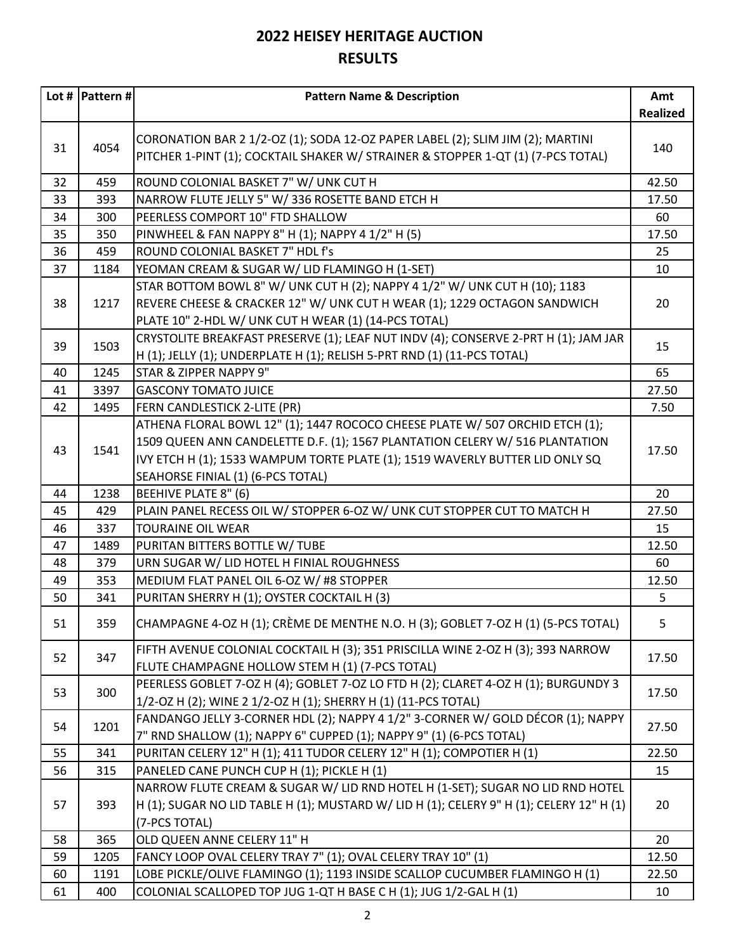|    | Lot #  Pattern # | <b>Pattern Name &amp; Description</b>                                                                                                                                                                                                                                             | Amt             |
|----|------------------|-----------------------------------------------------------------------------------------------------------------------------------------------------------------------------------------------------------------------------------------------------------------------------------|-----------------|
|    |                  |                                                                                                                                                                                                                                                                                   | <b>Realized</b> |
| 31 | 4054             | CORONATION BAR 2 1/2-OZ (1); SODA 12-OZ PAPER LABEL (2); SLIM JIM (2); MARTINI<br>PITCHER 1-PINT (1); COCKTAIL SHAKER W/ STRAINER & STOPPER 1-QT (1) (7-PCS TOTAL)                                                                                                                | 140             |
| 32 | 459              | ROUND COLONIAL BASKET 7" W/ UNK CUT H                                                                                                                                                                                                                                             | 42.50           |
| 33 | 393              | NARROW FLUTE JELLY 5" W/ 336 ROSETTE BAND ETCH H                                                                                                                                                                                                                                  | 17.50           |
| 34 | 300              | PEERLESS COMPORT 10" FTD SHALLOW                                                                                                                                                                                                                                                  | 60              |
| 35 | 350              | PINWHEEL & FAN NAPPY 8" H (1); NAPPY 4 1/2" H (5)                                                                                                                                                                                                                                 | 17.50           |
| 36 | 459              | ROUND COLONIAL BASKET 7" HDL f's                                                                                                                                                                                                                                                  | 25              |
| 37 | 1184             | YEOMAN CREAM & SUGAR W/ LID FLAMINGO H (1-SET)                                                                                                                                                                                                                                    | 10              |
| 38 | 1217             | STAR BOTTOM BOWL 8" W/ UNK CUT H (2); NAPPY 4 1/2" W/ UNK CUT H (10); 1183<br>REVERE CHEESE & CRACKER 12" W/ UNK CUT H WEAR (1); 1229 OCTAGON SANDWICH<br>PLATE 10" 2-HDL W/ UNK CUT H WEAR (1) (14-PCS TOTAL)                                                                    | 20              |
| 39 | 1503             | CRYSTOLITE BREAKFAST PRESERVE (1); LEAF NUT INDV (4); CONSERVE 2-PRT H (1); JAM JAR<br>H (1); JELLY (1); UNDERPLATE H (1); RELISH 5-PRT RND (1) (11-PCS TOTAL)                                                                                                                    | 15              |
| 40 | 1245             | STAR & ZIPPER NAPPY 9"                                                                                                                                                                                                                                                            | 65              |
| 41 | 3397             | <b>GASCONY TOMATO JUICE</b>                                                                                                                                                                                                                                                       | 27.50           |
| 42 | 1495             | FERN CANDLESTICK 2-LITE (PR)                                                                                                                                                                                                                                                      | 7.50            |
| 43 | 1541             | ATHENA FLORAL BOWL 12" (1); 1447 ROCOCO CHEESE PLATE W/ 507 ORCHID ETCH (1);<br>1509 QUEEN ANN CANDELETTE D.F. (1); 1567 PLANTATION CELERY W/ 516 PLANTATION<br>IVY ETCH H (1); 1533 WAMPUM TORTE PLATE (1); 1519 WAVERLY BUTTER LID ONLY SQ<br>SEAHORSE FINIAL (1) (6-PCS TOTAL) | 17.50           |
| 44 | 1238             | BEEHIVE PLATE 8" (6)                                                                                                                                                                                                                                                              | 20              |
| 45 | 429              | PLAIN PANEL RECESS OIL W/ STOPPER 6-OZ W/ UNK CUT STOPPER CUT TO MATCH H                                                                                                                                                                                                          | 27.50           |
| 46 | 337              | <b>TOURAINE OIL WEAR</b>                                                                                                                                                                                                                                                          | 15              |
| 47 | 1489             | PURITAN BITTERS BOTTLE W/ TUBE                                                                                                                                                                                                                                                    | 12.50           |
| 48 | 379              | URN SUGAR W/ LID HOTEL H FINIAL ROUGHNESS                                                                                                                                                                                                                                         | 60              |
| 49 | 353              | MEDIUM FLAT PANEL OIL 6-OZ W/ #8 STOPPER                                                                                                                                                                                                                                          | 12.50           |
| 50 | 341              | PURITAN SHERRY H (1); OYSTER COCKTAIL H (3)                                                                                                                                                                                                                                       | 5               |
| 51 | 359              | CHAMPAGNE 4-OZ H (1); CRÈME DE MENTHE N.O. H (3); GOBLET 7-OZ H (1) (5-PCS TOTAL)                                                                                                                                                                                                 | 5               |
| 52 | 347              | FIFTH AVENUE COLONIAL COCKTAIL H (3); 351 PRISCILLA WINE 2-OZ H (3); 393 NARROW<br>FLUTE CHAMPAGNE HOLLOW STEM H (1) (7-PCS TOTAL)                                                                                                                                                | 17.50           |
| 53 | 300              | PEERLESS GOBLET 7-OZ H (4); GOBLET 7-OZ LO FTD H (2); CLARET 4-OZ H (1); BURGUNDY 3<br>1/2-OZ H (2); WINE 2 1/2-OZ H (1); SHERRY H (1) (11-PCS TOTAL)                                                                                                                             | 17.50           |
| 54 | 1201             | FANDANGO JELLY 3-CORNER HDL (2); NAPPY 4 1/2" 3-CORNER W/ GOLD DÉCOR (1); NAPPY<br>7" RND SHALLOW (1); NAPPY 6" CUPPED (1); NAPPY 9" (1) (6-PCS TOTAL)                                                                                                                            | 27.50           |
| 55 | 341              | PURITAN CELERY 12" H (1); 411 TUDOR CELERY 12" H (1); COMPOTIER H (1)                                                                                                                                                                                                             | 22.50           |
| 56 | 315              | PANELED CANE PUNCH CUP H (1); PICKLE H (1)                                                                                                                                                                                                                                        | 15              |
| 57 | 393              | NARROW FLUTE CREAM & SUGAR W/ LID RND HOTEL H (1-SET); SUGAR NO LID RND HOTEL<br>H (1); SUGAR NO LID TABLE H (1); MUSTARD W/ LID H (1); CELERY 9" H (1); CELERY 12" H (1)<br>(7-PCS TOTAL)                                                                                        | 20              |
| 58 | 365              | OLD QUEEN ANNE CELERY 11" H                                                                                                                                                                                                                                                       | 20              |
| 59 | 1205             | FANCY LOOP OVAL CELERY TRAY 7" (1); OVAL CELERY TRAY 10" (1)                                                                                                                                                                                                                      | 12.50           |
| 60 | 1191             | LOBE PICKLE/OLIVE FLAMINGO (1); 1193 INSIDE SCALLOP CUCUMBER FLAMINGO H (1)                                                                                                                                                                                                       | 22.50           |
| 61 | 400              | COLONIAL SCALLOPED TOP JUG 1-QT H BASE C H (1); JUG 1/2-GAL H (1)                                                                                                                                                                                                                 | 10              |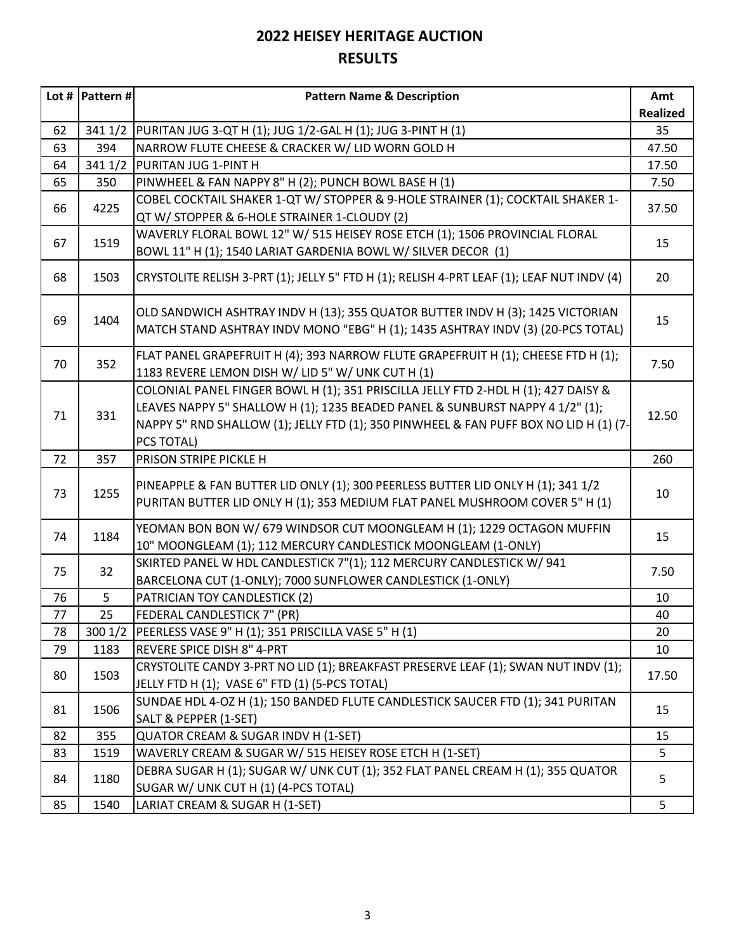|    | Lot #   Pattern # $ $ | <b>Pattern Name &amp; Description</b>                                                     | Amt             |
|----|-----------------------|-------------------------------------------------------------------------------------------|-----------------|
|    |                       |                                                                                           | <b>Realized</b> |
| 62 | 341 1/2               | PURITAN JUG 3-QT H (1); JUG 1/2-GAL H (1); JUG 3-PINT H (1)                               | 35              |
| 63 | 394                   | NARROW FLUTE CHEESE & CRACKER W/ LID WORN GOLD H                                          | 47.50           |
| 64 | 341 1/2               | PURITAN JUG 1-PINT H                                                                      | 17.50           |
| 65 | 350                   | PINWHEEL & FAN NAPPY 8" H (2); PUNCH BOWL BASE H (1)                                      | 7.50            |
|    |                       | COBEL COCKTAIL SHAKER 1-QT W/ STOPPER & 9-HOLE STRAINER (1); COCKTAIL SHAKER 1-           |                 |
| 66 | 4225                  | QT W/ STOPPER & 6-HOLE STRAINER 1-CLOUDY (2)                                              | 37.50           |
|    |                       | WAVERLY FLORAL BOWL 12" W/ 515 HEISEY ROSE ETCH (1); 1506 PROVINCIAL FLORAL               |                 |
| 67 | 1519                  | BOWL 11" H (1); 1540 LARIAT GARDENIA BOWL W/ SILVER DECOR (1)                             | 15              |
| 68 | 1503                  | CRYSTOLITE RELISH 3-PRT (1); JELLY 5" FTD H (1); RELISH 4-PRT LEAF (1); LEAF NUT INDV (4) | 20              |
|    |                       |                                                                                           |                 |
|    |                       | OLD SANDWICH ASHTRAY INDV H (13); 355 QUATOR BUTTER INDV H (3); 1425 VICTORIAN            |                 |
| 69 | 1404                  | MATCH STAND ASHTRAY INDV MONO "EBG" H (1); 1435 ASHTRAY INDV (3) (20-PCS TOTAL)           | 15              |
|    |                       |                                                                                           |                 |
| 70 | 352                   | FLAT PANEL GRAPEFRUIT H (4); 393 NARROW FLUTE GRAPEFRUIT H (1); CHEESE FTD H (1);         | 7.50            |
|    |                       | 1183 REVERE LEMON DISH W/ LID 5" W/ UNK CUT H (1)                                         |                 |
|    |                       | COLONIAL PANEL FINGER BOWL H (1); 351 PRISCILLA JELLY FTD 2-HDL H (1); 427 DAISY &        |                 |
| 71 | 331                   | LEAVES NAPPY 5" SHALLOW H (1); 1235 BEADED PANEL & SUNBURST NAPPY 4 1/2" (1);             | 12.50           |
|    |                       | NAPPY 5" RND SHALLOW (1); JELLY FTD (1); 350 PINWHEEL & FAN PUFF BOX NO LID H (1) (7-     |                 |
|    |                       | PCS TOTAL)                                                                                |                 |
| 72 | 357                   | PRISON STRIPE PICKLE H                                                                    | 260             |
|    |                       | PINEAPPLE & FAN BUTTER LID ONLY (1); 300 PEERLESS BUTTER LID ONLY H (1); 341 1/2          |                 |
| 73 | 1255                  | PURITAN BUTTER LID ONLY H (1); 353 MEDIUM FLAT PANEL MUSHROOM COVER 5" H (1)              | 10              |
|    |                       | YEOMAN BON BON W/ 679 WINDSOR CUT MOONGLEAM H (1); 1229 OCTAGON MUFFIN                    |                 |
| 74 | 1184                  | 10" MOONGLEAM (1); 112 MERCURY CANDLESTICK MOONGLEAM (1-ONLY)                             | 15              |
|    |                       | SKIRTED PANEL W HDL CANDLESTICK 7"(1); 112 MERCURY CANDLESTICK W/ 941                     |                 |
| 75 | 32                    | BARCELONA CUT (1-ONLY); 7000 SUNFLOWER CANDLESTICK (1-ONLY)                               | 7.50            |
| 76 | 5                     | PATRICIAN TOY CANDLESTICK (2)                                                             | 10              |
| 77 | 25                    | FEDERAL CANDLESTICK 7" (PR)                                                               | 40              |
| 78 | 3001/2                | PEERLESS VASE 9" H (1); 351 PRISCILLA VASE 5" H (1)                                       | 20              |
| 79 | 1183                  | REVERE SPICE DISH 8" 4-PRT                                                                | 10              |
|    |                       | CRYSTOLITE CANDY 3-PRT NO LID (1); BREAKFAST PRESERVE LEAF (1); SWAN NUT INDV (1);        |                 |
| 80 | 1503                  | JELLY FTD H (1); VASE 6" FTD (1) (5-PCS TOTAL)                                            | 17.50           |
|    |                       | SUNDAE HDL 4-OZ H (1); 150 BANDED FLUTE CANDLESTICK SAUCER FTD (1); 341 PURITAN           |                 |
| 81 | 1506                  | SALT & PEPPER (1-SET)                                                                     | 15              |
| 82 | 355                   | QUATOR CREAM & SUGAR INDV H (1-SET)                                                       | 15              |
| 83 | 1519                  | WAVERLY CREAM & SUGAR W/ 515 HEISEY ROSE ETCH H (1-SET)                                   | 5               |
|    |                       | DEBRA SUGAR H (1); SUGAR W/ UNK CUT (1); 352 FLAT PANEL CREAM H (1); 355 QUATOR           |                 |
| 84 | 1180                  | SUGAR W/ UNK CUT H (1) (4-PCS TOTAL)                                                      | 5               |
| 85 | 1540                  | LARIAT CREAM & SUGAR H (1-SET)                                                            | 5               |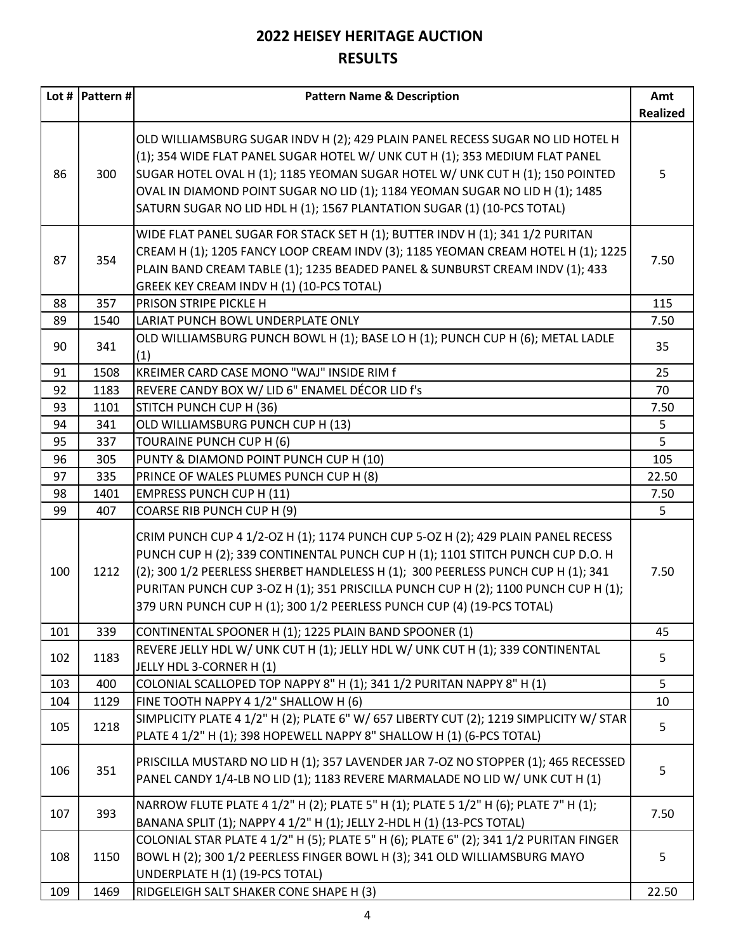|     | Lot #  Pattern # | <b>Pattern Name &amp; Description</b>                                                                                                                                                                                                                                                                                                                                                                                   | Amt<br><b>Realized</b> |
|-----|------------------|-------------------------------------------------------------------------------------------------------------------------------------------------------------------------------------------------------------------------------------------------------------------------------------------------------------------------------------------------------------------------------------------------------------------------|------------------------|
| 86  | 300              | OLD WILLIAMSBURG SUGAR INDV H (2); 429 PLAIN PANEL RECESS SUGAR NO LID HOTEL H<br>(1); 354 WIDE FLAT PANEL SUGAR HOTEL W/ UNK CUT H (1); 353 MEDIUM FLAT PANEL<br>SUGAR HOTEL OVAL H (1); 1185 YEOMAN SUGAR HOTEL W/ UNK CUT H (1); 150 POINTED<br>OVAL IN DIAMOND POINT SUGAR NO LID (1); 1184 YEOMAN SUGAR NO LID H (1); 1485<br>SATURN SUGAR NO LID HDL H (1); 1567 PLANTATION SUGAR (1) (10-PCS TOTAL)              | 5                      |
| 87  | 354              | WIDE FLAT PANEL SUGAR FOR STACK SET H (1); BUTTER INDV H (1); 341 1/2 PURITAN<br>CREAM H (1); 1205 FANCY LOOP CREAM INDV (3); 1185 YEOMAN CREAM HOTEL H (1); 1225<br>PLAIN BAND CREAM TABLE (1); 1235 BEADED PANEL & SUNBURST CREAM INDV (1); 433<br>GREEK KEY CREAM INDV H (1) (10-PCS TOTAL)                                                                                                                          | 7.50                   |
| 88  | 357              | PRISON STRIPE PICKLE H                                                                                                                                                                                                                                                                                                                                                                                                  | 115                    |
| 89  | 1540             | LARIAT PUNCH BOWL UNDERPLATE ONLY                                                                                                                                                                                                                                                                                                                                                                                       | 7.50                   |
| 90  | 341              | OLD WILLIAMSBURG PUNCH BOWL H (1); BASE LO H (1); PUNCH CUP H (6); METAL LADLE<br>(1)                                                                                                                                                                                                                                                                                                                                   | 35                     |
| 91  | 1508             | KREIMER CARD CASE MONO "WAJ" INSIDE RIM f                                                                                                                                                                                                                                                                                                                                                                               | 25                     |
| 92  | 1183             | REVERE CANDY BOX W/ LID 6" ENAMEL DÉCOR LID f's                                                                                                                                                                                                                                                                                                                                                                         | 70                     |
| 93  | 1101             | STITCH PUNCH CUP H (36)                                                                                                                                                                                                                                                                                                                                                                                                 | 7.50                   |
| 94  | 341              | OLD WILLIAMSBURG PUNCH CUP H (13)                                                                                                                                                                                                                                                                                                                                                                                       | 5                      |
| 95  | 337              | TOURAINE PUNCH CUP H (6)                                                                                                                                                                                                                                                                                                                                                                                                | 5                      |
| 96  | 305              | PUNTY & DIAMOND POINT PUNCH CUP H (10)                                                                                                                                                                                                                                                                                                                                                                                  | 105                    |
| 97  | 335              | PRINCE OF WALES PLUMES PUNCH CUP H (8)                                                                                                                                                                                                                                                                                                                                                                                  | 22.50                  |
| 98  | 1401             | <b>EMPRESS PUNCH CUP H (11)</b>                                                                                                                                                                                                                                                                                                                                                                                         | 7.50                   |
| 99  | 407              | COARSE RIB PUNCH CUP H (9)                                                                                                                                                                                                                                                                                                                                                                                              | 5                      |
| 100 | 1212             | CRIM PUNCH CUP 4 1/2-OZ H (1); 1174 PUNCH CUP 5-OZ H (2); 429 PLAIN PANEL RECESS<br>PUNCH CUP H (2); 339 CONTINENTAL PUNCH CUP H (1); 1101 STITCH PUNCH CUP D.O. H<br>(2); 300 1/2 PEERLESS SHERBET HANDLELESS H (1); 300 PEERLESS PUNCH CUP H (1); 341<br>PURITAN PUNCH CUP 3-OZ H (1); 351 PRISCILLA PUNCH CUP H (2); 1100 PUNCH CUP H (1);<br>379 URN PUNCH CUP H (1); 300 1/2 PEERLESS PUNCH CUP (4) (19-PCS TOTAL) | 7.50                   |
| 101 | 339              | CONTINENTAL SPOONER H (1); 1225 PLAIN BAND SPOONER (1)                                                                                                                                                                                                                                                                                                                                                                  | 45                     |
| 102 | 1183             | REVERE JELLY HDL W/ UNK CUT H (1); JELLY HDL W/ UNK CUT H (1); 339 CONTINENTAL<br>JELLY HDL 3-CORNER H (1)                                                                                                                                                                                                                                                                                                              | 5                      |
| 103 | 400              | COLONIAL SCALLOPED TOP NAPPY 8" H (1); 341 1/2 PURITAN NAPPY 8" H (1)                                                                                                                                                                                                                                                                                                                                                   | 5                      |
| 104 | 1129             | FINE TOOTH NAPPY 4 1/2" SHALLOW H (6)                                                                                                                                                                                                                                                                                                                                                                                   | 10                     |
| 105 | 1218             | SIMPLICITY PLATE 4 1/2" H (2); PLATE 6" W/ 657 LIBERTY CUT (2); 1219 SIMPLICITY W/ STAR<br>PLATE 4 1/2" H (1); 398 HOPEWELL NAPPY 8" SHALLOW H (1) (6-PCS TOTAL)                                                                                                                                                                                                                                                        | 5                      |
| 106 | 351              | PRISCILLA MUSTARD NO LID H (1); 357 LAVENDER JAR 7-OZ NO STOPPER (1); 465 RECESSED<br>PANEL CANDY 1/4-LB NO LID (1); 1183 REVERE MARMALADE NO LID W/ UNK CUT H (1)                                                                                                                                                                                                                                                      | 5                      |
| 107 | 393              | NARROW FLUTE PLATE 4 1/2" H (2); PLATE 5" H (1); PLATE 5 1/2" H (6); PLATE 7" H (1);<br>BANANA SPLIT (1); NAPPY 4 1/2" H (1); JELLY 2-HDL H (1) (13-PCS TOTAL)                                                                                                                                                                                                                                                          | 7.50                   |
| 108 | 1150             | COLONIAL STAR PLATE 4 1/2" H (5); PLATE 5" H (6); PLATE 6" (2); 341 1/2 PURITAN FINGER<br>BOWL H (2); 300 1/2 PEERLESS FINGER BOWL H (3); 341 OLD WILLIAMSBURG MAYO<br>UNDERPLATE H (1) (19-PCS TOTAL)                                                                                                                                                                                                                  | 5                      |
| 109 | 1469             | RIDGELEIGH SALT SHAKER CONE SHAPE H (3)                                                                                                                                                                                                                                                                                                                                                                                 | 22.50                  |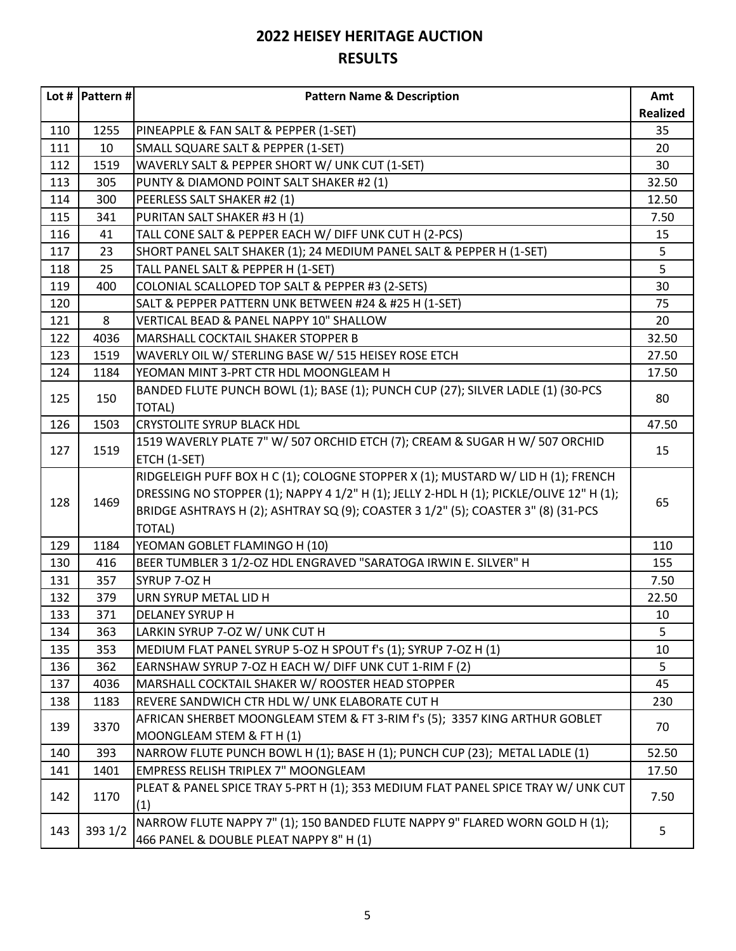|     | Lot #   Pattern # $ $ | <b>Pattern Name &amp; Description</b>                                                   | Amt             |
|-----|-----------------------|-----------------------------------------------------------------------------------------|-----------------|
|     |                       |                                                                                         | <b>Realized</b> |
| 110 | 1255                  | PINEAPPLE & FAN SALT & PEPPER (1-SET)                                                   | 35              |
| 111 | 10                    | SMALL SQUARE SALT & PEPPER (1-SET)                                                      | 20              |
| 112 | 1519                  | WAVERLY SALT & PEPPER SHORT W/ UNK CUT (1-SET)                                          | 30              |
| 113 | 305                   | PUNTY & DIAMOND POINT SALT SHAKER #2 (1)                                                | 32.50           |
| 114 | 300                   | PEERLESS SALT SHAKER #2 (1)                                                             | 12.50           |
| 115 | 341                   | PURITAN SALT SHAKER #3 H (1)                                                            | 7.50            |
| 116 | 41                    | TALL CONE SALT & PEPPER EACH W/ DIFF UNK CUT H (2-PCS)                                  | 15              |
| 117 | 23                    | SHORT PANEL SALT SHAKER (1); 24 MEDIUM PANEL SALT & PEPPER H (1-SET)                    | 5               |
| 118 | 25                    | TALL PANEL SALT & PEPPER H (1-SET)                                                      | 5               |
| 119 | 400                   | COLONIAL SCALLOPED TOP SALT & PEPPER #3 (2-SETS)                                        | 30              |
| 120 |                       | SALT & PEPPER PATTERN UNK BETWEEN #24 & #25 H (1-SET)                                   | 75              |
| 121 | 8                     | <b>VERTICAL BEAD &amp; PANEL NAPPY 10" SHALLOW</b>                                      | 20              |
| 122 | 4036                  | MARSHALL COCKTAIL SHAKER STOPPER B                                                      | 32.50           |
| 123 | 1519                  | WAVERLY OIL W/ STERLING BASE W/ 515 HEISEY ROSE ETCH                                    | 27.50           |
| 124 | 1184                  | YEOMAN MINT 3-PRT CTR HDL MOONGLEAM H                                                   | 17.50           |
|     |                       | BANDED FLUTE PUNCH BOWL (1); BASE (1); PUNCH CUP (27); SILVER LADLE (1) (30-PCS         |                 |
| 125 | 150                   | <b>TOTAL)</b>                                                                           | 80              |
| 126 | 1503                  | <b>CRYSTOLITE SYRUP BLACK HDL</b>                                                       | 47.50           |
|     |                       | 1519 WAVERLY PLATE 7" W/ 507 ORCHID ETCH (7); CREAM & SUGAR H W/ 507 ORCHID             |                 |
| 127 | 1519                  | ETCH (1-SET)                                                                            | 15              |
|     |                       | RIDGELEIGH PUFF BOX H C (1); COLOGNE STOPPER X (1); MUSTARD W/ LID H (1); FRENCH        |                 |
|     |                       | DRESSING NO STOPPER (1); NAPPY 4 1/2" H (1); JELLY 2-HDL H (1); PICKLE/OLIVE 12" H (1); |                 |
| 128 | 1469                  | BRIDGE ASHTRAYS H (2); ASHTRAY SQ (9); COASTER 3 1/2" (5); COASTER 3" (8) (31-PCS       | 65              |
|     |                       | TOTAL)                                                                                  |                 |
| 129 | 1184                  | YEOMAN GOBLET FLAMINGO H (10)                                                           | 110             |
| 130 | 416                   | BEER TUMBLER 3 1/2-OZ HDL ENGRAVED "SARATOGA IRWIN E. SILVER" H                         | 155             |
| 131 | 357                   | SYRUP 7-OZ H                                                                            | 7.50            |
| 132 | 379                   | URN SYRUP METAL LID H                                                                   | 22.50           |
| 133 | 371                   | <b>DELANEY SYRUP H</b>                                                                  | 10              |
| 134 | 363                   | LARKIN SYRUP 7-OZ W/ UNK CUT H                                                          | 5               |
| 135 | 353                   | MEDIUM FLAT PANEL SYRUP 5-OZ H SPOUT f's (1); SYRUP 7-OZ H (1)                          | 10              |
| 136 | 362                   | EARNSHAW SYRUP 7-OZ H EACH W/ DIFF UNK CUT 1-RIM F (2)                                  | 5               |
| 137 | 4036                  | MARSHALL COCKTAIL SHAKER W/ ROOSTER HEAD STOPPER                                        | 45              |
| 138 | 1183                  | REVERE SANDWICH CTR HDL W/ UNK ELABORATE CUT H                                          | 230             |
|     |                       | AFRICAN SHERBET MOONGLEAM STEM & FT 3-RIM f's (5); 3357 KING ARTHUR GOBLET              |                 |
| 139 | 3370                  | MOONGLEAM STEM & FT H (1)                                                               | 70              |
| 140 | 393                   | NARROW FLUTE PUNCH BOWL H (1); BASE H (1); PUNCH CUP (23); METAL LADLE (1)              | 52.50           |
| 141 | 1401                  | <b>EMPRESS RELISH TRIPLEX 7" MOONGLEAM</b>                                              | 17.50           |
|     |                       | PLEAT & PANEL SPICE TRAY 5-PRT H (1); 353 MEDIUM FLAT PANEL SPICE TRAY W/ UNK CUT       |                 |
| 142 | 1170                  | (1)                                                                                     | 7.50            |
|     |                       | NARROW FLUTE NAPPY 7" (1); 150 BANDED FLUTE NAPPY 9" FLARED WORN GOLD H (1);            |                 |
| 143 | 393 1/2               | 466 PANEL & DOUBLE PLEAT NAPPY 8" H (1)                                                 | 5               |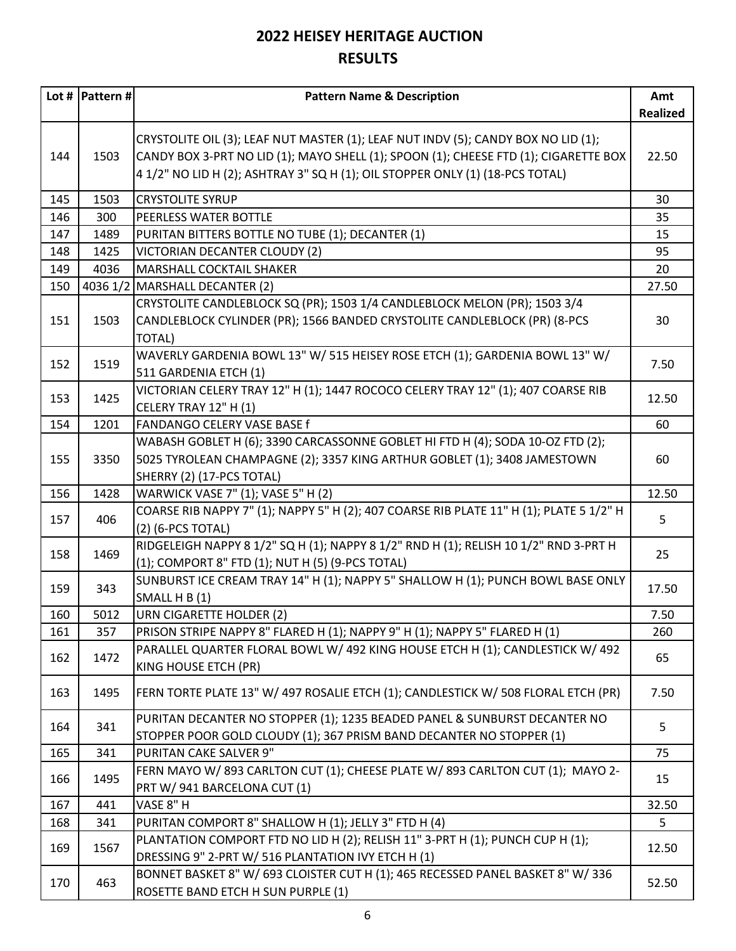|     | Lot #   Pattern # $ $ | <b>Pattern Name &amp; Description</b>                                                                                                                                                                                                                      | Amt             |
|-----|-----------------------|------------------------------------------------------------------------------------------------------------------------------------------------------------------------------------------------------------------------------------------------------------|-----------------|
|     |                       |                                                                                                                                                                                                                                                            | <b>Realized</b> |
| 144 | 1503                  | CRYSTOLITE OIL (3); LEAF NUT MASTER (1); LEAF NUT INDV (5); CANDY BOX NO LID (1);<br>CANDY BOX 3-PRT NO LID (1); MAYO SHELL (1); SPOON (1); CHEESE FTD (1); CIGARETTE BOX<br>4 1/2" NO LID H (2); ASHTRAY 3" SQ H (1); OIL STOPPER ONLY (1) (18-PCS TOTAL) | 22.50           |
| 145 | 1503                  | <b>CRYSTOLITE SYRUP</b>                                                                                                                                                                                                                                    | 30              |
| 146 | 300                   | PEERLESS WATER BOTTLE                                                                                                                                                                                                                                      | 35              |
| 147 | 1489                  | PURITAN BITTERS BOTTLE NO TUBE (1); DECANTER (1)                                                                                                                                                                                                           | 15              |
| 148 | 1425                  | VICTORIAN DECANTER CLOUDY (2)                                                                                                                                                                                                                              | 95              |
| 149 | 4036                  | <b>MARSHALL COCKTAIL SHAKER</b>                                                                                                                                                                                                                            | 20              |
| 150 | 4036 1/2              | MARSHALL DECANTER (2)                                                                                                                                                                                                                                      | 27.50           |
| 151 | 1503                  | CRYSTOLITE CANDLEBLOCK SQ (PR); 1503 1/4 CANDLEBLOCK MELON (PR); 1503 3/4<br>CANDLEBLOCK CYLINDER (PR); 1566 BANDED CRYSTOLITE CANDLEBLOCK (PR) (8-PCS<br><b>TOTAL)</b>                                                                                    | 30              |
| 152 | 1519                  | WAVERLY GARDENIA BOWL 13" W/ 515 HEISEY ROSE ETCH (1); GARDENIA BOWL 13" W/<br>511 GARDENIA ETCH (1)                                                                                                                                                       | 7.50            |
| 153 | 1425                  | VICTORIAN CELERY TRAY 12" H (1); 1447 ROCOCO CELERY TRAY 12" (1); 407 COARSE RIB<br>CELERY TRAY 12" H (1)                                                                                                                                                  | 12.50           |
| 154 | 1201                  | FANDANGO CELERY VASE BASE f                                                                                                                                                                                                                                | 60              |
| 155 | 3350                  | WABASH GOBLET H (6); 3390 CARCASSONNE GOBLET HI FTD H (4); SODA 10-OZ FTD (2);<br>5025 TYROLEAN CHAMPAGNE (2); 3357 KING ARTHUR GOBLET (1); 3408 JAMESTOWN<br>SHERRY (2) (17-PCS TOTAL)                                                                    | 60              |
| 156 | 1428                  | WARWICK VASE 7" (1); VASE 5" H (2)                                                                                                                                                                                                                         | 12.50           |
| 157 | 406                   | COARSE RIB NAPPY 7" (1); NAPPY 5" H (2); 407 COARSE RIB PLATE 11" H (1); PLATE 5 1/2" H<br>(2) (6-PCS TOTAL)                                                                                                                                               | 5               |
| 158 | 1469                  | RIDGELEIGH NAPPY 8 1/2" SQ H (1); NAPPY 8 1/2" RND H (1); RELISH 10 1/2" RND 3-PRT H<br>(1); COMPORT 8" FTD (1); NUT H (5) (9-PCS TOTAL)                                                                                                                   | 25              |
| 159 | 343                   | SUNBURST ICE CREAM TRAY 14" H (1); NAPPY 5" SHALLOW H (1); PUNCH BOWL BASE ONLY<br>SMALL H B (1)                                                                                                                                                           | 17.50           |
| 160 | 5012                  | URN CIGARETTE HOLDER (2)                                                                                                                                                                                                                                   | 7.50            |
| 161 | 357                   | PRISON STRIPE NAPPY 8" FLARED H (1); NAPPY 9" H (1); NAPPY 5" FLARED H (1)                                                                                                                                                                                 | 260             |
| 162 | 1472                  | PARALLEL QUARTER FLORAL BOWL W/ 492 KING HOUSE ETCH H (1); CANDLESTICK W/ 492<br>KING HOUSE ETCH (PR)                                                                                                                                                      | 65              |
| 163 | 1495                  | FERN TORTE PLATE 13" W/ 497 ROSALIE ETCH (1); CANDLESTICK W/ 508 FLORAL ETCH (PR)                                                                                                                                                                          | 7.50            |
| 164 | 341                   | PURITAN DECANTER NO STOPPER (1); 1235 BEADED PANEL & SUNBURST DECANTER NO<br>STOPPER POOR GOLD CLOUDY (1); 367 PRISM BAND DECANTER NO STOPPER (1)                                                                                                          | 5               |
| 165 | 341                   | PURITAN CAKE SALVER 9"                                                                                                                                                                                                                                     | 75              |
| 166 | 1495                  | FERN MAYO W/893 CARLTON CUT (1); CHEESE PLATE W/893 CARLTON CUT (1); MAYO 2-<br>PRT W/ 941 BARCELONA CUT (1)                                                                                                                                               | 15              |
| 167 | 441                   | VASE 8" H                                                                                                                                                                                                                                                  | 32.50           |
| 168 | 341                   | PURITAN COMPORT 8" SHALLOW H (1); JELLY 3" FTD H (4)                                                                                                                                                                                                       | 5               |
| 169 | 1567                  | PLANTATION COMPORT FTD NO LID H (2); RELISH 11" 3-PRT H (1); PUNCH CUP H (1);<br>DRESSING 9" 2-PRT W/ 516 PLANTATION IVY ETCH H (1)                                                                                                                        | 12.50           |
| 170 | 463                   | BONNET BASKET 8" W/ 693 CLOISTER CUT H (1); 465 RECESSED PANEL BASKET 8" W/ 336<br>ROSETTE BAND ETCH H SUN PURPLE (1)                                                                                                                                      | 52.50           |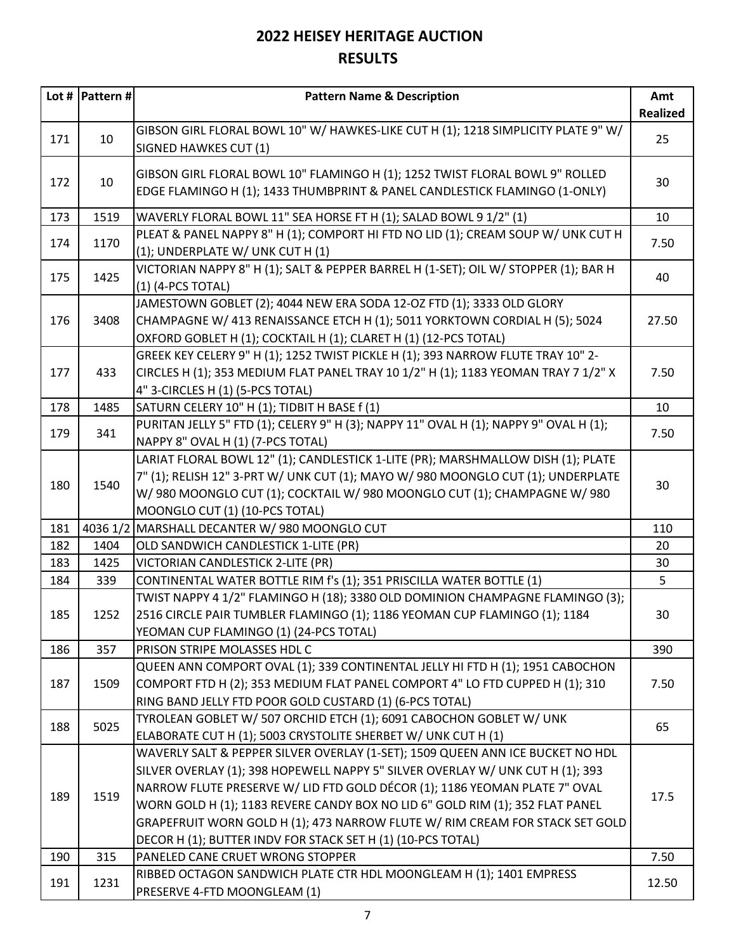|     | Lot #   Pattern # $ $ | <b>Pattern Name &amp; Description</b>                                                                                                                                                                                                                                                                                                                                                                                                                                          | Amt             |
|-----|-----------------------|--------------------------------------------------------------------------------------------------------------------------------------------------------------------------------------------------------------------------------------------------------------------------------------------------------------------------------------------------------------------------------------------------------------------------------------------------------------------------------|-----------------|
|     |                       |                                                                                                                                                                                                                                                                                                                                                                                                                                                                                | <b>Realized</b> |
| 171 | 10                    | GIBSON GIRL FLORAL BOWL 10" W/ HAWKES-LIKE CUT H (1); 1218 SIMPLICITY PLATE 9" W/<br>SIGNED HAWKES CUT (1)                                                                                                                                                                                                                                                                                                                                                                     | 25              |
| 172 | 10                    | GIBSON GIRL FLORAL BOWL 10" FLAMINGO H (1); 1252 TWIST FLORAL BOWL 9" ROLLED<br>EDGE FLAMINGO H (1); 1433 THUMBPRINT & PANEL CANDLESTICK FLAMINGO (1-ONLY)                                                                                                                                                                                                                                                                                                                     | 30              |
| 173 | 1519                  | WAVERLY FLORAL BOWL 11" SEA HORSE FT H (1); SALAD BOWL 9 1/2" (1)                                                                                                                                                                                                                                                                                                                                                                                                              | 10              |
| 174 | 1170                  | PLEAT & PANEL NAPPY 8" H (1); COMPORT HI FTD NO LID (1); CREAM SOUP W/ UNK CUT H<br>(1); UNDERPLATE W/ UNK CUT H (1)                                                                                                                                                                                                                                                                                                                                                           | 7.50            |
| 175 | 1425                  | VICTORIAN NAPPY 8" H (1); SALT & PEPPER BARREL H (1-SET); OIL W/ STOPPER (1); BAR H<br>(1) (4-PCS TOTAL)                                                                                                                                                                                                                                                                                                                                                                       | 40              |
| 176 | 3408                  | JAMESTOWN GOBLET (2); 4044 NEW ERA SODA 12-OZ FTD (1); 3333 OLD GLORY<br>CHAMPAGNE W/ 413 RENAISSANCE ETCH H (1); 5011 YORKTOWN CORDIAL H (5); 5024<br>OXFORD GOBLET H (1); COCKTAIL H (1); CLARET H (1) (12-PCS TOTAL)                                                                                                                                                                                                                                                        | 27.50           |
| 177 | 433                   | GREEK KEY CELERY 9" H (1); 1252 TWIST PICKLE H (1); 393 NARROW FLUTE TRAY 10" 2-<br>CIRCLES H (1); 353 MEDIUM FLAT PANEL TRAY 10 1/2" H (1); 1183 YEOMAN TRAY 7 1/2" X<br>4" 3-CIRCLES H (1) (5-PCS TOTAL)                                                                                                                                                                                                                                                                     | 7.50            |
| 178 | 1485                  | SATURN CELERY 10" H (1); TIDBIT H BASE f (1)                                                                                                                                                                                                                                                                                                                                                                                                                                   | 10              |
| 179 | 341                   | PURITAN JELLY 5" FTD (1); CELERY 9" H (3); NAPPY 11" OVAL H (1); NAPPY 9" OVAL H (1);<br>NAPPY 8" OVAL H (1) (7-PCS TOTAL)                                                                                                                                                                                                                                                                                                                                                     | 7.50            |
| 180 | 1540                  | LARIAT FLORAL BOWL 12" (1); CANDLESTICK 1-LITE (PR); MARSHMALLOW DISH (1); PLATE<br>7" (1); RELISH 12" 3-PRT W/ UNK CUT (1); MAYO W/ 980 MOONGLO CUT (1); UNDERPLATE<br>W/980 MOONGLO CUT (1); COCKTAIL W/980 MOONGLO CUT (1); CHAMPAGNE W/980<br>MOONGLO CUT (1) (10-PCS TOTAL)                                                                                                                                                                                               | 30              |
| 181 | 4036 1/2              | MARSHALL DECANTER W/980 MOONGLO CUT                                                                                                                                                                                                                                                                                                                                                                                                                                            | 110             |
| 182 | 1404                  | OLD SANDWICH CANDLESTICK 1-LITE (PR)                                                                                                                                                                                                                                                                                                                                                                                                                                           | 20              |
| 183 | 1425                  | VICTORIAN CANDLESTICK 2-LITE (PR)                                                                                                                                                                                                                                                                                                                                                                                                                                              | 30              |
| 184 | 339                   | CONTINENTAL WATER BOTTLE RIM f's (1); 351 PRISCILLA WATER BOTTLE (1)                                                                                                                                                                                                                                                                                                                                                                                                           | 5               |
| 185 | 1252                  | TWIST NAPPY 4 1/2" FLAMINGO H (18); 3380 OLD DOMINION CHAMPAGNE FLAMINGO (3);<br>2516 CIRCLE PAIR TUMBLER FLAMINGO (1); 1186 YEOMAN CUP FLAMINGO (1); 1184<br>YEOMAN CUP FLAMINGO (1) (24-PCS TOTAL)                                                                                                                                                                                                                                                                           | 30              |
| 186 | 357                   | PRISON STRIPE MOLASSES HDL C                                                                                                                                                                                                                                                                                                                                                                                                                                                   | 390             |
| 187 | 1509                  | QUEEN ANN COMPORT OVAL (1); 339 CONTINENTAL JELLY HI FTD H (1); 1951 CABOCHON<br>COMPORT FTD H (2); 353 MEDIUM FLAT PANEL COMPORT 4" LO FTD CUPPED H (1); 310<br>RING BAND JELLY FTD POOR GOLD CUSTARD (1) (6-PCS TOTAL)                                                                                                                                                                                                                                                       | 7.50            |
| 188 | 5025                  | TYROLEAN GOBLET W/ 507 ORCHID ETCH (1); 6091 CABOCHON GOBLET W/ UNK<br>ELABORATE CUT H (1); 5003 CRYSTOLITE SHERBET W/ UNK CUT H (1)                                                                                                                                                                                                                                                                                                                                           | 65              |
| 189 | 1519                  | WAVERLY SALT & PEPPER SILVER OVERLAY (1-SET); 1509 QUEEN ANN ICE BUCKET NO HDL<br>SILVER OVERLAY (1); 398 HOPEWELL NAPPY 5" SILVER OVERLAY W/ UNK CUT H (1); 393<br>NARROW FLUTE PRESERVE W/ LID FTD GOLD DÉCOR (1); 1186 YEOMAN PLATE 7" OVAL<br>WORN GOLD H (1); 1183 REVERE CANDY BOX NO LID 6" GOLD RIM (1); 352 FLAT PANEL<br>GRAPEFRUIT WORN GOLD H (1); 473 NARROW FLUTE W/ RIM CREAM FOR STACK SET GOLD<br>DECOR H (1); BUTTER INDV FOR STACK SET H (1) (10-PCS TOTAL) | 17.5            |
| 190 | 315                   | PANELED CANE CRUET WRONG STOPPER                                                                                                                                                                                                                                                                                                                                                                                                                                               | 7.50            |
| 191 | 1231                  | RIBBED OCTAGON SANDWICH PLATE CTR HDL MOONGLEAM H (1); 1401 EMPRESS<br>PRESERVE 4-FTD MOONGLEAM (1)                                                                                                                                                                                                                                                                                                                                                                            | 12.50           |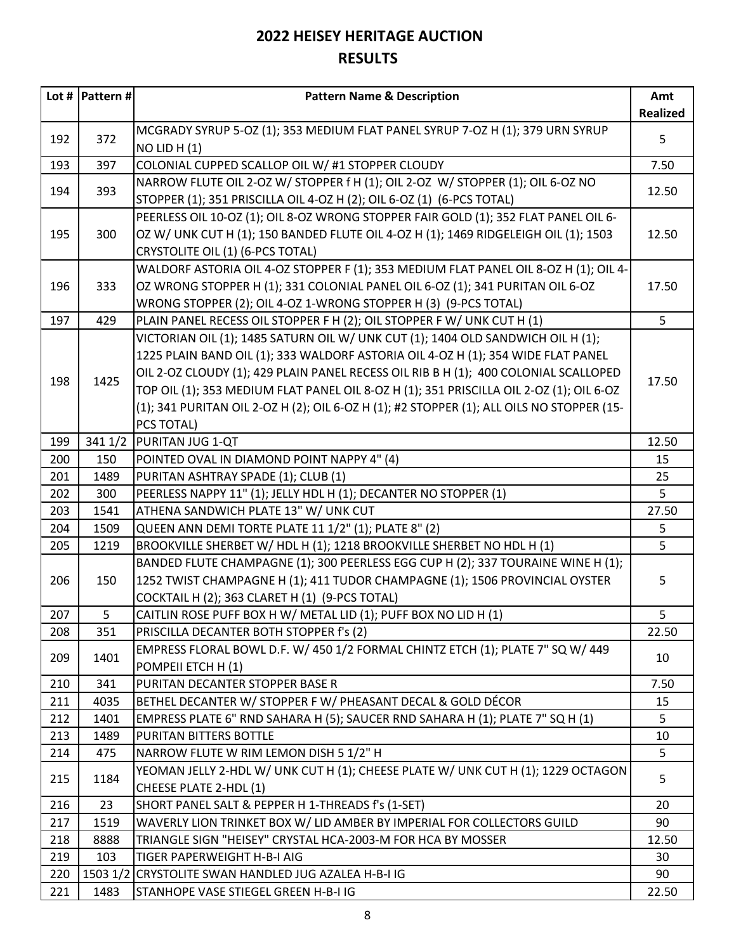|            | Lot #  Pattern # | <b>Pattern Name &amp; Description</b>                                                                   | Amt<br><b>Realized</b> |
|------------|------------------|---------------------------------------------------------------------------------------------------------|------------------------|
|            |                  | MCGRADY SYRUP 5-OZ (1); 353 MEDIUM FLAT PANEL SYRUP 7-OZ H (1); 379 URN SYRUP                           |                        |
| 192        | 372              | $NO$ LID H $(1)$                                                                                        | 5                      |
| 193        | 397              | COLONIAL CUPPED SCALLOP OIL W/ #1 STOPPER CLOUDY                                                        | 7.50                   |
|            |                  | NARROW FLUTE OIL 2-OZ W/ STOPPER f H (1); OIL 2-OZ W/ STOPPER (1); OIL 6-OZ NO                          |                        |
| 194        | 393              | STOPPER (1); 351 PRISCILLA OIL 4-OZ H (2); OIL 6-OZ (1) (6-PCS TOTAL)                                   | 12.50                  |
|            |                  | PEERLESS OIL 10-OZ (1); OIL 8-OZ WRONG STOPPER FAIR GOLD (1); 352 FLAT PANEL OIL 6-                     |                        |
| 195        | 300              | OZ W/ UNK CUT H (1); 150 BANDED FLUTE OIL 4-OZ H (1); 1469 RIDGELEIGH OIL (1); 1503                     | 12.50                  |
|            |                  | CRYSTOLITE OIL (1) (6-PCS TOTAL)                                                                        |                        |
|            |                  | WALDORF ASTORIA OIL 4-OZ STOPPER F (1); 353 MEDIUM FLAT PANEL OIL 8-OZ H (1); OIL 4-                    |                        |
| 196        | 333              | OZ WRONG STOPPER H (1); 331 COLONIAL PANEL OIL 6-OZ (1); 341 PURITAN OIL 6-OZ                           | 17.50                  |
|            |                  | WRONG STOPPER (2); OIL 4-OZ 1-WRONG STOPPER H (3) (9-PCS TOTAL)                                         |                        |
| 197        | 429              | PLAIN PANEL RECESS OIL STOPPER F H (2); OIL STOPPER F W/ UNK CUT H (1)                                  | 5                      |
|            |                  | VICTORIAN OIL (1); 1485 SATURN OIL W/ UNK CUT (1); 1404 OLD SANDWICH OIL H (1);                         |                        |
|            |                  | 1225 PLAIN BAND OIL (1); 333 WALDORF ASTORIA OIL 4-OZ H (1); 354 WIDE FLAT PANEL                        |                        |
| 198        | 1425             | OIL 2-OZ CLOUDY (1); 429 PLAIN PANEL RECESS OIL RIB B H (1); 400 COLONIAL SCALLOPED                     | 17.50                  |
|            |                  | TOP OIL (1); 353 MEDIUM FLAT PANEL OIL 8-OZ H (1); 351 PRISCILLA OIL 2-OZ (1); OIL 6-OZ                 |                        |
|            |                  | (1); 341 PURITAN OIL 2-OZ H (2); OIL 6-OZ H (1); #2 STOPPER (1); ALL OILS NO STOPPER (15-               |                        |
|            |                  | PCS TOTAL)                                                                                              |                        |
| 199        | 341 1/2          | PURITAN JUG 1-QT                                                                                        | 12.50                  |
| 200        | 150              | POINTED OVAL IN DIAMOND POINT NAPPY 4" (4)                                                              | 15                     |
| 201<br>202 | 1489<br>300      | PURITAN ASHTRAY SPADE (1); CLUB (1)<br>PEERLESS NAPPY 11" (1); JELLY HDL H (1); DECANTER NO STOPPER (1) | 25<br>5 <sup>1</sup>   |
| 203        | 1541             | ATHENA SANDWICH PLATE 13" W/ UNK CUT                                                                    | 27.50                  |
| 204        | 1509             | QUEEN ANN DEMI TORTE PLATE 11 1/2" (1); PLATE 8" (2)                                                    | 5                      |
| 205        | 1219             | BROOKVILLE SHERBET W/ HDL H (1); 1218 BROOKVILLE SHERBET NO HDL H (1)                                   | 5                      |
|            |                  | BANDED FLUTE CHAMPAGNE (1); 300 PEERLESS EGG CUP H (2); 337 TOURAINE WINE H (1);                        |                        |
| 206        | 150              | 1252 TWIST CHAMPAGNE H (1); 411 TUDOR CHAMPAGNE (1); 1506 PROVINCIAL OYSTER                             | 5                      |
|            |                  | COCKTAIL H (2); 363 CLARET H (1) (9-PCS TOTAL)                                                          |                        |
| 207        | 5                | CAITLIN ROSE PUFF BOX H W/ METAL LID (1); PUFF BOX NO LID H (1)                                         | 5                      |
| 208        | 351              | PRISCILLA DECANTER BOTH STOPPER f's (2)                                                                 | 22.50                  |
|            |                  | EMPRESS FLORAL BOWL D.F. W/ 450 1/2 FORMAL CHINTZ ETCH (1); PLATE 7" SQ W/ 449                          |                        |
| 209        | 1401             | POMPEII ETCH H (1)                                                                                      | 10                     |
| 210        | 341              | PURITAN DECANTER STOPPER BASE R                                                                         | 7.50                   |
| 211        | 4035             | BETHEL DECANTER W/ STOPPER F W/ PHEASANT DECAL & GOLD DÉCOR                                             | 15                     |
| 212        | 1401             | EMPRESS PLATE 6" RND SAHARA H (5); SAUCER RND SAHARA H (1); PLATE 7" SQ H (1)                           | 5                      |
| 213        | 1489             | PURITAN BITTERS BOTTLE                                                                                  | 10                     |
| 214        | 475              | NARROW FLUTE W RIM LEMON DISH 5 1/2" H                                                                  | 5 <sup>1</sup>         |
| 215        | 1184             | YEOMAN JELLY 2-HDL W/ UNK CUT H (1); CHEESE PLATE W/ UNK CUT H (1); 1229 OCTAGON                        | 5                      |
|            |                  | CHEESE PLATE 2-HDL (1)                                                                                  |                        |
| 216        | 23               | SHORT PANEL SALT & PEPPER H 1-THREADS f's (1-SET)                                                       | 20                     |
| 217        | 1519             | WAVERLY LION TRINKET BOX W/ LID AMBER BY IMPERIAL FOR COLLECTORS GUILD                                  | 90                     |
| 218        | 8888             | TRIANGLE SIGN "HEISEY" CRYSTAL HCA-2003-M FOR HCA BY MOSSER                                             | 12.50                  |
| 219        | 103              | TIGER PAPERWEIGHT H-B-I AIG                                                                             | 30                     |
| 220        |                  | 1503 1/2 CRYSTOLITE SWAN HANDLED JUG AZALEA H-B-I IG                                                    | 90                     |
| 221        | 1483             | STANHOPE VASE STIEGEL GREEN H-B-I IG                                                                    | 22.50                  |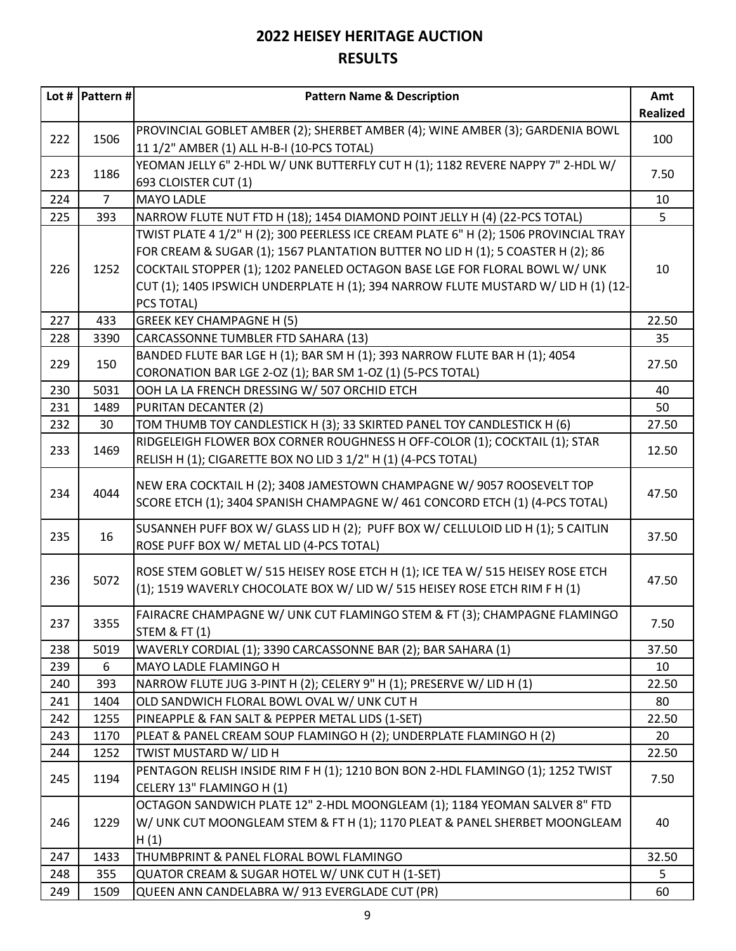|     | Lot #  Pattern # | <b>Pattern Name &amp; Description</b>                                                                                                                           | Amt             |
|-----|------------------|-----------------------------------------------------------------------------------------------------------------------------------------------------------------|-----------------|
|     |                  |                                                                                                                                                                 | <b>Realized</b> |
| 222 | 1506             | PROVINCIAL GOBLET AMBER (2); SHERBET AMBER (4); WINE AMBER (3); GARDENIA BOWL<br>11 1/2" AMBER (1) ALL H-B-I (10-PCS TOTAL)                                     | 100             |
| 223 | 1186             | YEOMAN JELLY 6" 2-HDL W/ UNK BUTTERFLY CUT H (1); 1182 REVERE NAPPY 7" 2-HDL W/<br>693 CLOISTER CUT (1)                                                         | 7.50            |
| 224 | $\overline{7}$   | <b>MAYO LADLE</b>                                                                                                                                               | 10              |
| 225 | 393              | NARROW FLUTE NUT FTD H (18); 1454 DIAMOND POINT JELLY H (4) (22-PCS TOTAL)                                                                                      | 5               |
|     |                  | TWIST PLATE 4 1/2" H (2); 300 PEERLESS ICE CREAM PLATE 6" H (2); 1506 PROVINCIAL TRAY                                                                           |                 |
|     |                  | FOR CREAM & SUGAR (1); 1567 PLANTATION BUTTER NO LID H (1); 5 COASTER H (2); 86                                                                                 |                 |
| 226 | 1252             | COCKTAIL STOPPER (1); 1202 PANELED OCTAGON BASE LGE FOR FLORAL BOWL W/ UNK                                                                                      | 10              |
|     |                  | CUT (1); 1405 IPSWICH UNDERPLATE H (1); 394 NARROW FLUTE MUSTARD W/ LID H (1) (12-                                                                              |                 |
|     |                  | PCS TOTAL)                                                                                                                                                      |                 |
| 227 | 433              | <b>GREEK KEY CHAMPAGNE H (5)</b>                                                                                                                                | 22.50           |
| 228 | 3390             | CARCASSONNE TUMBLER FTD SAHARA (13)                                                                                                                             | 35              |
|     |                  | BANDED FLUTE BAR LGE H (1); BAR SM H (1); 393 NARROW FLUTE BAR H (1); 4054                                                                                      |                 |
| 229 | 150              | CORONATION BAR LGE 2-OZ (1); BAR SM 1-OZ (1) (5-PCS TOTAL)                                                                                                      | 27.50           |
| 230 | 5031             | OOH LA LA FRENCH DRESSING W/ 507 ORCHID ETCH                                                                                                                    | 40              |
| 231 | 1489             | <b>PURITAN DECANTER (2)</b>                                                                                                                                     | 50              |
| 232 | 30               | TOM THUMB TOY CANDLESTICK H (3); 33 SKIRTED PANEL TOY CANDLESTICK H (6)                                                                                         | 27.50           |
| 233 | 1469             | RIDGELEIGH FLOWER BOX CORNER ROUGHNESS H OFF-COLOR (1); COCKTAIL (1); STAR                                                                                      | 12.50           |
|     |                  | RELISH H (1); CIGARETTE BOX NO LID 3 1/2" H (1) (4-PCS TOTAL)                                                                                                   |                 |
| 234 | 4044             | NEW ERA COCKTAIL H (2); 3408 JAMESTOWN CHAMPAGNE W/ 9057 ROOSEVELT TOP<br>SCORE ETCH (1); 3404 SPANISH CHAMPAGNE W/ 461 CONCORD ETCH (1) (4-PCS TOTAL)          | 47.50           |
| 235 | 16               | SUSANNEH PUFF BOX W/ GLASS LID H (2); PUFF BOX W/ CELLULOID LID H (1); 5 CAITLIN<br>ROSE PUFF BOX W/ METAL LID (4-PCS TOTAL)                                    | 37.50           |
| 236 | 5072             | ROSE STEM GOBLET W/ 515 HEISEY ROSE ETCH H (1); ICE TEA W/ 515 HEISEY ROSE ETCH<br>(1); 1519 WAVERLY CHOCOLATE BOX W/ LID W/ 515 HEISEY ROSE ETCH RIM F H (1)   | 47.50           |
| 237 | 3355             | FAIRACRE CHAMPAGNE W/ UNK CUT FLAMINGO STEM & FT (3); CHAMPAGNE FLAMINGO<br>STEM & FT (1)                                                                       | 7.50            |
| 238 | 5019             | WAVERLY CORDIAL (1); 3390 CARCASSONNE BAR (2); BAR SAHARA (1)                                                                                                   | 37.50           |
| 239 | 6                | MAYO LADLE FLAMINGO H                                                                                                                                           | 10              |
| 240 | 393              | NARROW FLUTE JUG 3-PINT H (2); CELERY 9" H (1); PRESERVE W/ LID H (1)                                                                                           | 22.50           |
| 241 | 1404             | OLD SANDWICH FLORAL BOWL OVAL W/ UNK CUT H                                                                                                                      | 80              |
| 242 | 1255             | PINEAPPLE & FAN SALT & PEPPER METAL LIDS (1-SET)                                                                                                                | 22.50           |
| 243 | 1170             | PLEAT & PANEL CREAM SOUP FLAMINGO H (2); UNDERPLATE FLAMINGO H (2)                                                                                              | 20              |
| 244 | 1252             | TWIST MUSTARD W/ LID H                                                                                                                                          | 22.50           |
| 245 | 1194             | PENTAGON RELISH INSIDE RIM F H (1); 1210 BON BON 2-HDL FLAMINGO (1); 1252 TWIST<br>CELERY 13" FLAMINGO H (1)                                                    | 7.50            |
| 246 | 1229             | OCTAGON SANDWICH PLATE 12" 2-HDL MOONGLEAM (1); 1184 YEOMAN SALVER 8" FTD<br>W/ UNK CUT MOONGLEAM STEM & FT H (1); 1170 PLEAT & PANEL SHERBET MOONGLEAM<br>H(1) | 40              |
| 247 | 1433             | THUMBPRINT & PANEL FLORAL BOWL FLAMINGO                                                                                                                         | 32.50           |
| 248 | 355              | QUATOR CREAM & SUGAR HOTEL W/ UNK CUT H (1-SET)                                                                                                                 | 5               |
| 249 | 1509             | QUEEN ANN CANDELABRA W/ 913 EVERGLADE CUT (PR)                                                                                                                  | 60              |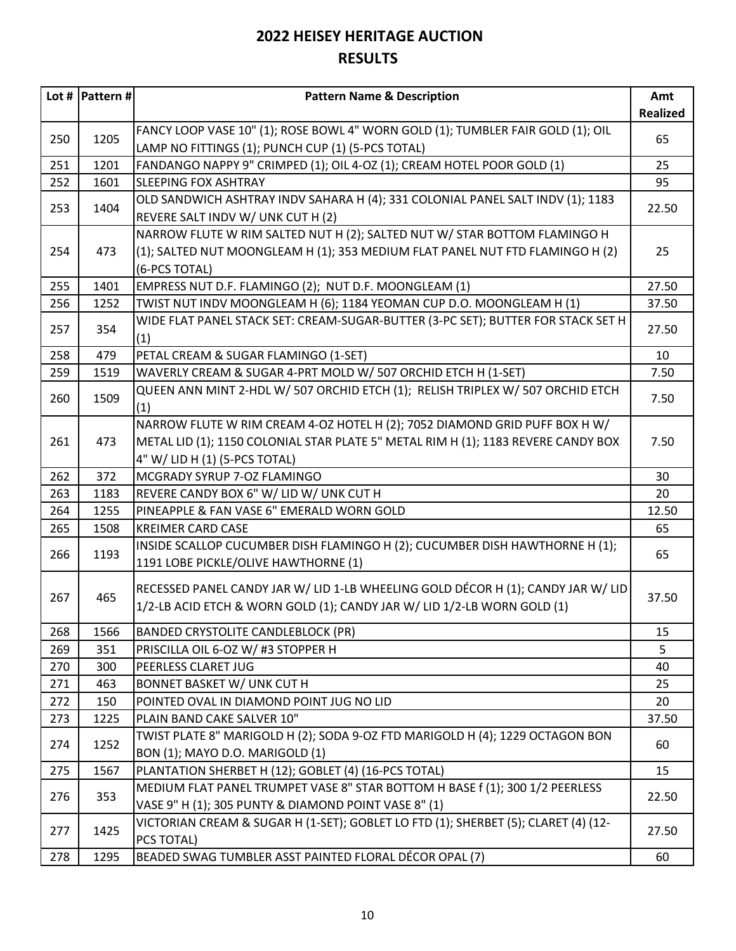|     | Lot #  Pattern # | <b>Pattern Name &amp; Description</b>                                              | Amt             |
|-----|------------------|------------------------------------------------------------------------------------|-----------------|
|     |                  |                                                                                    | <b>Realized</b> |
|     |                  | FANCY LOOP VASE 10" (1); ROSE BOWL 4" WORN GOLD (1); TUMBLER FAIR GOLD (1); OIL    |                 |
| 250 | 1205             | LAMP NO FITTINGS (1); PUNCH CUP (1) (5-PCS TOTAL)                                  | 65              |
| 251 | 1201             | FANDANGO NAPPY 9" CRIMPED (1); OIL 4-OZ (1); CREAM HOTEL POOR GOLD (1)             | 25              |
| 252 | 1601             | <b>SLEEPING FOX ASHTRAY</b>                                                        | 95              |
| 253 | 1404             | OLD SANDWICH ASHTRAY INDV SAHARA H (4); 331 COLONIAL PANEL SALT INDV (1); 1183     | 22.50           |
|     |                  | REVERE SALT INDV W/ UNK CUT H (2)                                                  |                 |
|     |                  | NARROW FLUTE W RIM SALTED NUT H (2); SALTED NUT W/ STAR BOTTOM FLAMINGO H          |                 |
| 254 | 473              | (1); SALTED NUT MOONGLEAM H (1); 353 MEDIUM FLAT PANEL NUT FTD FLAMINGO H (2)      | 25              |
|     |                  | (6-PCS TOTAL)                                                                      |                 |
| 255 | 1401             | EMPRESS NUT D.F. FLAMINGO (2); NUT D.F. MOONGLEAM (1)                              | 27.50           |
| 256 | 1252             | TWIST NUT INDV MOONGLEAM H (6); 1184 YEOMAN CUP D.O. MOONGLEAM H (1)               | 37.50           |
| 257 | 354              | WIDE FLAT PANEL STACK SET: CREAM-SUGAR-BUTTER (3-PC SET); BUTTER FOR STACK SET H   | 27.50           |
|     |                  | (1)                                                                                |                 |
| 258 | 479              | PETAL CREAM & SUGAR FLAMINGO (1-SET)                                               | 10              |
| 259 | 1519             | WAVERLY CREAM & SUGAR 4-PRT MOLD W/ 507 ORCHID ETCH H (1-SET)                      | 7.50            |
|     |                  | QUEEN ANN MINT 2-HDL W/ 507 ORCHID ETCH (1); RELISH TRIPLEX W/ 507 ORCHID ETCH     |                 |
| 260 | 1509             | (1)                                                                                | 7.50            |
|     |                  | NARROW FLUTE W RIM CREAM 4-OZ HOTEL H (2); 7052 DIAMOND GRID PUFF BOX H W/         |                 |
| 261 | 473              | METAL LID (1); 1150 COLONIAL STAR PLATE 5" METAL RIM H (1); 1183 REVERE CANDY BOX  | 7.50            |
|     |                  | 4" W/ LID H (1) (5-PCS TOTAL)                                                      |                 |
| 262 | 372              | MCGRADY SYRUP 7-OZ FLAMINGO                                                        | 30              |
| 263 | 1183             | REVERE CANDY BOX 6" W/ LID W/ UNK CUT H                                            | 20              |
| 264 | 1255             | PINEAPPLE & FAN VASE 6" EMERALD WORN GOLD                                          | 12.50           |
| 265 | 1508             | <b>KREIMER CARD CASE</b>                                                           | 65              |
| 266 | 1193             | INSIDE SCALLOP CUCUMBER DISH FLAMINGO H (2); CUCUMBER DISH HAWTHORNE H (1);        | 65              |
|     |                  | 1191 LOBE PICKLE/OLIVE HAWTHORNE (1)                                               |                 |
|     |                  | RECESSED PANEL CANDY JAR W/ LID 1-LB WHEELING GOLD DÉCOR H (1); CANDY JAR W/ LID   |                 |
| 267 | 465              | 1/2-LB ACID ETCH & WORN GOLD (1); CANDY JAR W/ LID 1/2-LB WORN GOLD (1)            | 37.50           |
|     |                  |                                                                                    |                 |
| 268 | 1566             | <b>BANDED CRYSTOLITE CANDLEBLOCK (PR)</b>                                          | 15              |
| 269 | 351              | PRISCILLA OIL 6-OZ W/#3 STOPPER H                                                  | 5               |
| 270 | 300              | PEERLESS CLARET JUG                                                                | 40              |
| 271 | 463              | <b>BONNET BASKET W/ UNK CUT H</b>                                                  | 25              |
| 272 | 150              | POINTED OVAL IN DIAMOND POINT JUG NO LID                                           | 20              |
| 273 | 1225             | PLAIN BAND CAKE SALVER 10"                                                         | 37.50           |
| 274 | 1252             | TWIST PLATE 8" MARIGOLD H (2); SODA 9-OZ FTD MARIGOLD H (4); 1229 OCTAGON BON      | 60              |
|     |                  | BON (1); MAYO D.O. MARIGOLD (1)                                                    |                 |
| 275 | 1567             | PLANTATION SHERBET H (12); GOBLET (4) (16-PCS TOTAL)                               | 15              |
| 276 | 353              | MEDIUM FLAT PANEL TRUMPET VASE 8" STAR BOTTOM H BASE f (1); 300 1/2 PEERLESS       | 22.50           |
|     |                  | VASE 9" H (1); 305 PUNTY & DIAMOND POINT VASE 8" (1)                               |                 |
| 277 | 1425             | VICTORIAN CREAM & SUGAR H (1-SET); GOBLET LO FTD (1); SHERBET (5); CLARET (4) (12- | 27.50           |
|     |                  | PCS TOTAL)                                                                         |                 |
| 278 | 1295             | BEADED SWAG TUMBLER ASST PAINTED FLORAL DÉCOR OPAL (7)                             | 60              |